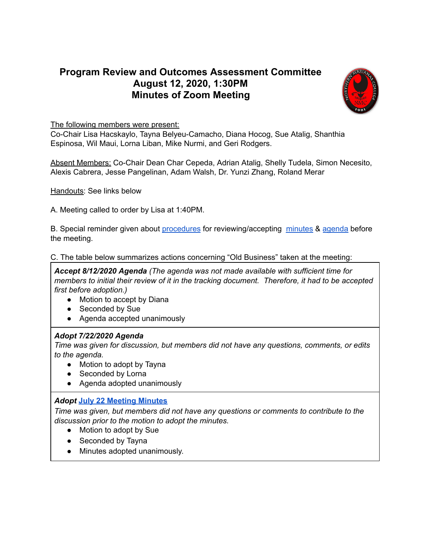# **Program Review and Outcomes Assessment Committee August 12, 2020, 1:30PM Minutes of Zoom Meeting**



The following members were present:

Co-Chair Lisa Hacskaylo, Tayna Belyeu-Camacho, Diana Hocog, Sue Atalig, Shanthia Espinosa, Wil Maui, Lorna Liban, Mike Nurmi, and Geri Rodgers.

Absent Members: Co-Chair Dean Char Cepeda, Adrian Atalig, Shelly Tudela, Simon Necesito, Alexis Cabrera, Jesse Pangelinan, Adam Walsh, Dr. Yunzi Zhang, Roland Merar

Handouts: See links below

A. Meeting called to order by Lisa at 1:40PM.

B. Special reminder given about [procedures](https://docs.google.com/document/d/1Or4JYl7CNxR1ZqWycYlxz_EGcjCsW1znzIlqapovI80/edit) for reviewing/accepting [minutes](https://docs.google.com/spreadsheets/d/1L92vqfH536K0Z84EzTS227xi5lSIpz-BYKy56QUsuuo/edit?usp=sharing) & [agenda](https://docs.google.com/spreadsheets/d/1sUtcSXbbPb9Gdl3HbtMTderZ5e57dJuV0Jv3WtlZAK8/edit?usp=sharing) before the meeting.

C. The table below summarizes actions concerning "Old Business" taken at the meeting:

*Accept 8/12/2020 Agenda (The agenda was not made available with sufficient time for members to initial their review of it in the tracking document. Therefore, it had to be accepted first before adoption.)*

- Motion to accept by Diana
- Seconded by Sue
- Agenda accepted unanimously

#### *Adopt 7/22/2020 Agenda*

*Time was given for discussion, but members did not have any questions, comments, or edits to the agenda.*

- Motion to adopt by Tayna
- Seconded by Lorna
- Agenda adopted unanimously

## *Adopt* **July 22 [Meeting](https://docs.google.com/document/d/1-Q6eGePY667toxdo6yDpOMJor9OneZR5EQK3JRoGPXQ/edit?usp=sharing) Minutes**

*Time was given, but members did not have any questions or comments to contribute to the discussion prior to the motion to adopt the minutes.*

- Motion to adopt by Sue
- Seconded by Tayna
- Minutes adopted unanimously.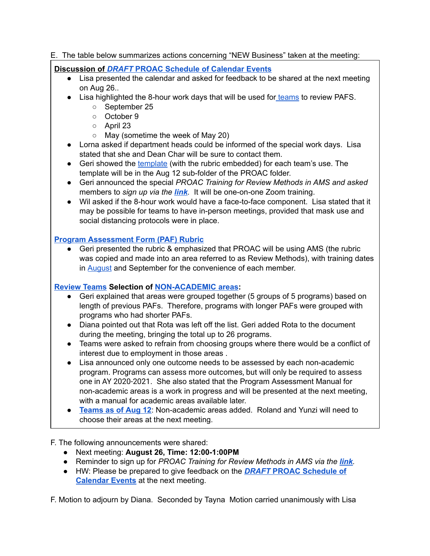#### E. The table below summarizes actions concerning "NEW Business" taken at the meeting:

#### **Discussion of** *[DRAFT](https://docs.google.com/document/d/1CgzJB8-oeOrWIhIOckUQTIzA32bVOuq9gjvSGRkfJl0/edit)* **PROAC [Schedule](https://docs.google.com/document/d/1CgzJB8-oeOrWIhIOckUQTIzA32bVOuq9gjvSGRkfJl0/edit) of Calendar Events**

- Lisa presented the calendar and asked for feedback to be shared at the next meeting on Aug 26..
- Lisa highlighted the 8-hour work days that will be used for [teams](https://drive.google.com/file/d/1g8i2wH0lh5skzTMIdluM7d4QA_D-Fal7/view?usp=sharing) to review PAFS.
	- September 25
	- October 9
	- April 23
	- May (sometime the week of May 20)
- Lorna asked if department heads could be informed of the special work days. Lisa stated that she and Dean Char will be sure to contact them.
- Geri showed the [template](https://docs.google.com/presentation/d/1DteEq2Txn2hsPYIadWHDsB9qJEJnew7n1_k8bSJyCT8/edit#slide=id.p) (with the rubric embedded) for each team's use. The template will be in the Aug 12 sub-folder of the PROAC folder.
- Geri announced the special *PROAC Training for Review Methods in AMS and asked* members to *sign up via the [link](https://forms.gle/8idmStRXmM2q7wQm8).* It will be one-on-one Zoom training.
- Wil asked if the 8-hour work would have a face-to-face component. Lisa stated that it may be possible for teams to have in-person meetings, provided that mask use and social distancing protocols were in place.

### **Program [Assessment](https://drive.google.com/file/d/11EywV5QkiwQyCmpWVcfxSXzZi0R1OF0S/view?usp=sharing) Form (PAF) Rubric**

● Geri presented the rubric & emphasized that PROAC will be using AMS (the rubric was copied and made into an area referred to as Review Methods), with training dates in [August](https://forms.gle/8idmStRXmM2q7wQm8) and September for the convenience of each member.

#### **[Review](https://drive.google.com/file/d/1g8i2wH0lh5skzTMIdluM7d4QA_D-Fal7/view?usp=sharing) Teams Selection of [NON-ACADEMIC](https://docs.google.com/presentation/d/1IzVo7uTuLd6tfhqN842MXHyM7OAIFKrrrvGmYjSGNnc/edit?usp=sharing) areas:**

- Geri explained that areas were grouped together (5 groups of 5 programs) based on length of previous PAFs. Therefore, programs with longer PAFs were grouped with programs who had shorter PAFs.
- Diana pointed out that Rota was left off the list. Geri added Rota to the document during the meeting, bringing the total up to 26 programs.
- Teams were asked to refrain from choosing groups where there would be a conflict of interest due to employment in those areas .
- Lisa announced only one outcome needs to be assessed by each non-academic program. Programs can assess more outcomes, but will only be required to assess one in AY 2020-2021 . She also stated that the Program Assessment Manual for non-academic areas is a work in progress and will be presented at the next meeting, with a manual for academic areas available later.
- **[Teams](https://docs.google.com/presentation/d/1hS185TMURDNMfpxxQ1YmRlc_TtUPGrw32-Z6PKQhw6w/edit#slide=id.g872481ad07_0_1) as of Aug 12**: Non-academic areas added. Roland and Yunzi will need to choose their areas at the next meeting.

F. The following announcements were shared:

- Next meeting: **August 26, Time: 12:00-1:00PM**
- Reminder to sign up for *PROAC Training for Review Methods in AMS via the [link](https://forms.gle/8idmStRXmM2q7wQm8).*
- **●** HW: Please be prepared to give feedback on the *[DRAFT](https://docs.google.com/document/d/1CgzJB8-oeOrWIhIOckUQTIzA32bVOuq9gjvSGRkfJl0/edit)* **PROAC [Schedule](https://docs.google.com/document/d/1CgzJB8-oeOrWIhIOckUQTIzA32bVOuq9gjvSGRkfJl0/edit) of [Calendar](https://docs.google.com/document/d/1CgzJB8-oeOrWIhIOckUQTIzA32bVOuq9gjvSGRkfJl0/edit) Events** at the next meeting.

F. Motion to adjourn by Diana. Seconded by Tayna Motion carried unanimously with Lisa